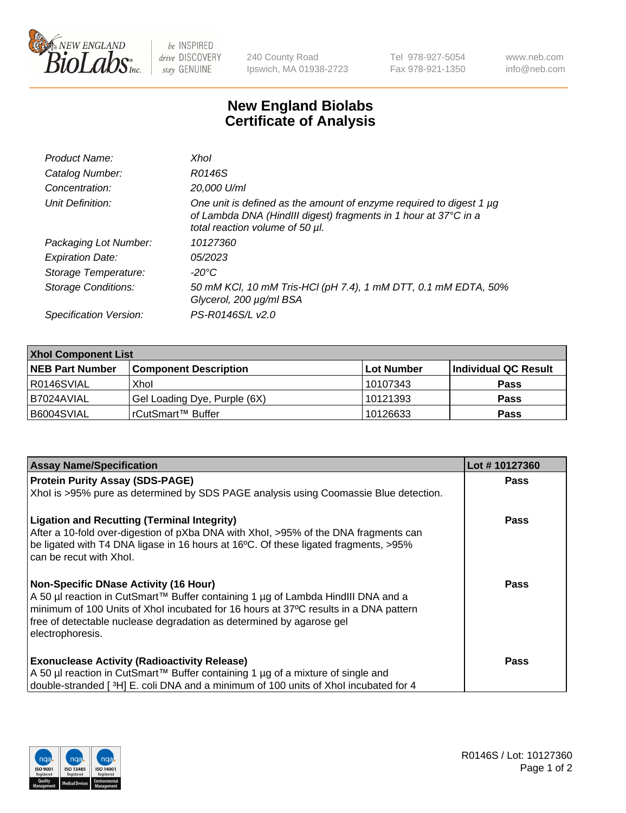

 $be$  INSPIRED drive DISCOVERY stay GENUINE

240 County Road Ipswich, MA 01938-2723 Tel 978-927-5054 Fax 978-921-1350 www.neb.com info@neb.com

## **New England Biolabs Certificate of Analysis**

| Product Name:              | Xhol                                                                                                                                                                      |
|----------------------------|---------------------------------------------------------------------------------------------------------------------------------------------------------------------------|
| Catalog Number:            | R0146S                                                                                                                                                                    |
| Concentration:             | 20,000 U/ml                                                                                                                                                               |
| Unit Definition:           | One unit is defined as the amount of enzyme required to digest 1 µg<br>of Lambda DNA (HindIII digest) fragments in 1 hour at 37°C in a<br>total reaction volume of 50 µl. |
| Packaging Lot Number:      | 10127360                                                                                                                                                                  |
| <b>Expiration Date:</b>    | 05/2023                                                                                                                                                                   |
| Storage Temperature:       | -20°C                                                                                                                                                                     |
| <b>Storage Conditions:</b> | 50 mM KCl, 10 mM Tris-HCl (pH 7.4), 1 mM DTT, 0.1 mM EDTA, 50%<br>Glycerol, 200 µg/ml BSA                                                                                 |
| Specification Version:     | PS-R0146S/L v2.0                                                                                                                                                          |

| <b>Xhol Component List</b> |                              |            |                      |  |  |
|----------------------------|------------------------------|------------|----------------------|--|--|
| <b>NEB Part Number</b>     | <b>Component Description</b> | Lot Number | Individual QC Result |  |  |
| R0146SVIAL                 | Xhol                         | 10107343   | <b>Pass</b>          |  |  |
| I B7024AVIAL               | Gel Loading Dye, Purple (6X) | 10121393   | <b>Pass</b>          |  |  |
| B6004SVIAL                 | rCutSmart™ Buffer            | 10126633   | <b>Pass</b>          |  |  |

| <b>Assay Name/Specification</b>                                                                                                                                                                                                                                                                                      | Lot #10127360 |
|----------------------------------------------------------------------------------------------------------------------------------------------------------------------------------------------------------------------------------------------------------------------------------------------------------------------|---------------|
| <b>Protein Purity Assay (SDS-PAGE)</b>                                                                                                                                                                                                                                                                               | <b>Pass</b>   |
| Xhol is >95% pure as determined by SDS PAGE analysis using Coomassie Blue detection.                                                                                                                                                                                                                                 |               |
| <b>Ligation and Recutting (Terminal Integrity)</b><br>After a 10-fold over-digestion of pXba DNA with Xhol, >95% of the DNA fragments can<br>be ligated with T4 DNA ligase in 16 hours at 16°C. Of these ligated fragments, >95%<br>can be recut with Xhol.                                                          | Pass          |
| <b>Non-Specific DNase Activity (16 Hour)</b><br>A 50 µl reaction in CutSmart™ Buffer containing 1 µg of Lambda HindIII DNA and a<br>minimum of 100 Units of Xhol incubated for 16 hours at 37°C results in a DNA pattern<br>free of detectable nuclease degradation as determined by agarose gel<br>electrophoresis. | Pass          |
| <b>Exonuclease Activity (Radioactivity Release)</b><br>A 50 µl reaction in CutSmart™ Buffer containing 1 µg of a mixture of single and<br>double-stranded [3H] E. coli DNA and a minimum of 100 units of Xhol incubated for 4                                                                                        | Pass          |